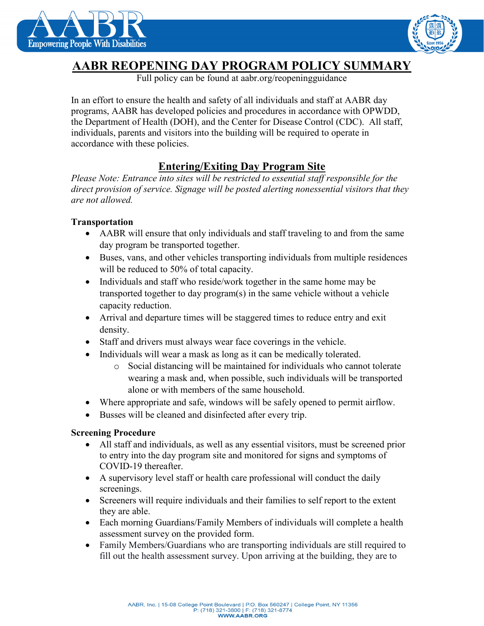



# **AABR REOPENING DAY PROGRAM POLICY SUMMARY**

Full policy can be found at aabr.org/reopeningguidance

In an effort to ensure the health and safety of all individuals and staff at AABR day programs, AABR has developed policies and procedures in accordance with OPWDD, the Department of Health (DOH), and the Center for Disease Control (CDC). All staff, individuals, parents and visitors into the building will be required to operate in accordance with these policies.

# **Entering/Exiting Day Program Site**

*Please Note: Entrance into sites will be restricted to essential staff responsible for the direct provision of service. Signage will be posted alerting nonessential visitors that they are not allowed.*

# **Transportation**

- AABR will ensure that only individuals and staff traveling to and from the same day program be transported together.
- Buses, vans, and other vehicles transporting individuals from multiple residences will be reduced to 50% of total capacity.
- Individuals and staff who reside/work together in the same home may be transported together to day program(s) in the same vehicle without a vehicle capacity reduction.
- Arrival and departure times will be staggered times to reduce entry and exit density.
- Staff and drivers must always wear face coverings in the vehicle.
- Individuals will wear a mask as long as it can be medically tolerated.
	- o Social distancing will be maintained for individuals who cannot tolerate wearing a mask and, when possible, such individuals will be transported alone or with members of the same household.
- Where appropriate and safe, windows will be safely opened to permit airflow.
- Busses will be cleaned and disinfected after every trip.

## **Screening Procedure**

- All staff and individuals, as well as any essential visitors, must be screened prior to entry into the day program site and monitored for signs and symptoms of COVID-19 thereafter.
- A supervisory level staff or health care professional will conduct the daily screenings.
- Screeners will require individuals and their families to self report to the extent they are able.
- Each morning Guardians/Family Members of individuals will complete a health assessment survey on the provided form.
- Family Members/Guardians who are transporting individuals are still required to fill out the health assessment survey. Upon arriving at the building, they are to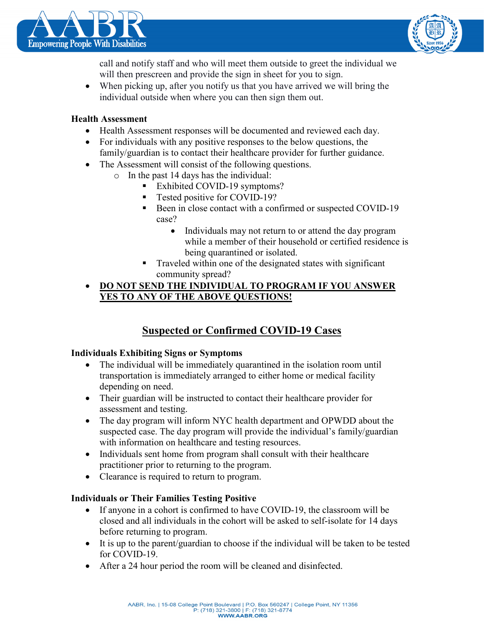



call and notify staff and who will meet them outside to greet the individual we will then prescreen and provide the sign in sheet for you to sign.

• When picking up, after you notify us that you have arrived we will bring the individual outside when where you can then sign them out.

### **Health Assessment**

- Health Assessment responses will be documented and reviewed each day.
- For individuals with any positive responses to the below questions, the family/guardian is to contact their healthcare provider for further guidance.
- The Assessment will consist of the following questions.
	- o In the past 14 days has the individual:
		- Exhibited COVID-19 symptoms?
		- Tested positive for COVID-19?
		- Been in close contact with a confirmed or suspected COVID-19 case?
			- Individuals may not return to or attend the day program while a member of their household or certified residence is being quarantined or isolated.
		- Traveled within one of the designated states with significant community spread?

# • **DO NOT SEND THE INDIVIDUAL TO PROGRAM IF YOU ANSWER YES TO ANY OF THE ABOVE QUESTIONS!**

# **Suspected or Confirmed COVID-19 Cases**

## **Individuals Exhibiting Signs or Symptoms**

- The individual will be immediately quarantined in the isolation room until transportation is immediately arranged to either home or medical facility depending on need.
- Their guardian will be instructed to contact their healthcare provider for assessment and testing.
- The day program will inform NYC health department and OPWDD about the suspected case. The day program will provide the individual's family/guardian with information on healthcare and testing resources.
- Individuals sent home from program shall consult with their healthcare practitioner prior to returning to the program.
- Clearance is required to return to program.

## **Individuals or Their Families Testing Positive**

- If anyone in a cohort is confirmed to have COVID-19, the classroom will be closed and all individuals in the cohort will be asked to self-isolate for 14 days before returning to program.
- It is up to the parent/guardian to choose if the individual will be taken to be tested for COVID-19.
- After a 24 hour period the room will be cleaned and disinfected.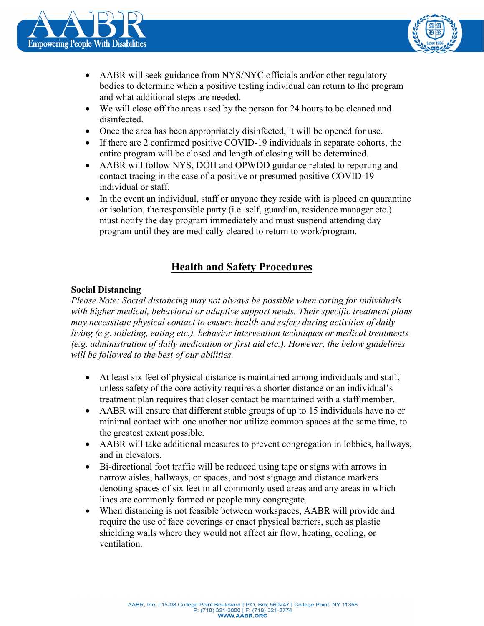



- AABR will seek guidance from NYS/NYC officials and/or other regulatory bodies to determine when a positive testing individual can return to the program and what additional steps are needed.
- We will close off the areas used by the person for 24 hours to be cleaned and disinfected.
- Once the area has been appropriately disinfected, it will be opened for use.
- If there are 2 confirmed positive COVID-19 individuals in separate cohorts, the entire program will be closed and length of closing will be determined.
- AABR will follow NYS, DOH and OPWDD guidance related to reporting and contact tracing in the case of a positive or presumed positive COVID-19 individual or staff.
- In the event an individual, staff or anyone they reside with is placed on quarantine or isolation, the responsible party (i.e. self, guardian, residence manager etc.) must notify the day program immediately and must suspend attending day program until they are medically cleared to return to work/program.

# **Health and Safety Procedures**

## **Social Distancing**

*Please Note: Social distancing may not always be possible when caring for individuals with higher medical, behavioral or adaptive support needs. Their specific treatment plans may necessitate physical contact to ensure health and safety during activities of daily living (e.g. toileting, eating etc.), behavior intervention techniques or medical treatments (e.g. administration of daily medication or first aid etc.). However, the below guidelines will be followed to the best of our abilities.*

- At least six feet of physical distance is maintained among individuals and staff, unless safety of the core activity requires a shorter distance or an individual's treatment plan requires that closer contact be maintained with a staff member.
- AABR will ensure that different stable groups of up to 15 individuals have no or minimal contact with one another nor utilize common spaces at the same time, to the greatest extent possible.
- AABR will take additional measures to prevent congregation in lobbies, hallways, and in elevators.
- Bi-directional foot traffic will be reduced using tape or signs with arrows in narrow aisles, hallways, or spaces, and post signage and distance markers denoting spaces of six feet in all commonly used areas and any areas in which lines are commonly formed or people may congregate.
- When distancing is not feasible between workspaces, AABR will provide and require the use of face coverings or enact physical barriers, such as plastic shielding walls where they would not affect air flow, heating, cooling, or ventilation.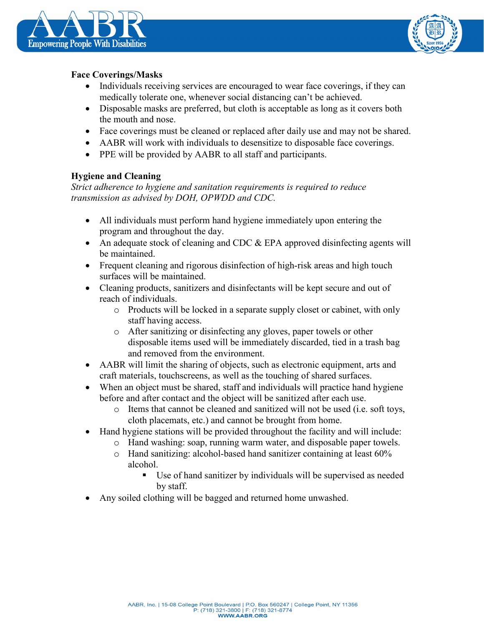



### **Face Coverings/Masks**

- Individuals receiving services are encouraged to wear face coverings, if they can medically tolerate one, whenever social distancing can't be achieved.
- Disposable masks are preferred, but cloth is acceptable as long as it covers both the mouth and nose.
- Face coverings must be cleaned or replaced after daily use and may not be shared.
- AABR will work with individuals to desensitize to disposable face coverings.
- PPE will be provided by AABR to all staff and participants.

### **Hygiene and Cleaning**

*Strict adherence to hygiene and sanitation requirements is required to reduce transmission as advised by DOH, OPWDD and CDC.*

- All individuals must perform hand hygiene immediately upon entering the program and throughout the day.
- An adequate stock of cleaning and CDC & EPA approved disinfecting agents will be maintained.
- Frequent cleaning and rigorous disinfection of high-risk areas and high touch surfaces will be maintained.
- Cleaning products, sanitizers and disinfectants will be kept secure and out of reach of individuals.
	- o Products will be locked in a separate supply closet or cabinet, with only staff having access.
	- o After sanitizing or disinfecting any gloves, paper towels or other disposable items used will be immediately discarded, tied in a trash bag and removed from the environment.
- AABR will limit the sharing of objects, such as electronic equipment, arts and craft materials, touchscreens, as well as the touching of shared surfaces.
- When an object must be shared, staff and individuals will practice hand hygiene before and after contact and the object will be sanitized after each use.
	- o Items that cannot be cleaned and sanitized will not be used (i.e. soft toys, cloth placemats, etc.) and cannot be brought from home.
- Hand hygiene stations will be provided throughout the facility and will include:
	- o Hand washing: soap, running warm water, and disposable paper towels.
	- o Hand sanitizing: alcohol-based hand sanitizer containing at least 60% alcohol.
		- Use of hand sanitizer by individuals will be supervised as needed by staff.
- Any soiled clothing will be bagged and returned home unwashed.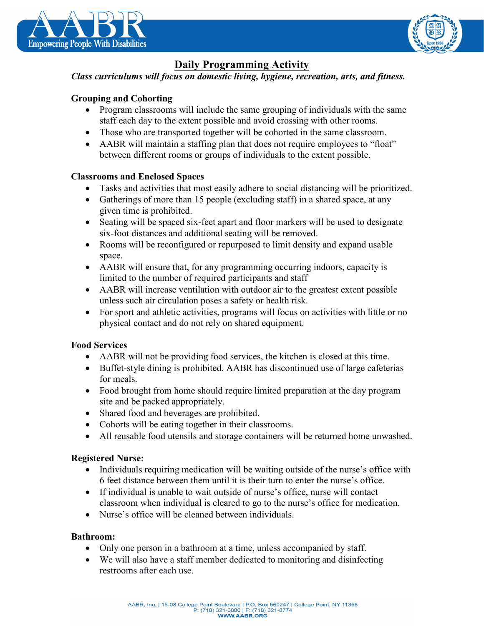



# **Daily Programming Activity**

*Class curriculums will focus on domestic living, hygiene, recreation, arts, and fitness.*

# **Grouping and Cohorting**

- Program classrooms will include the same grouping of individuals with the same staff each day to the extent possible and avoid crossing with other rooms.
- Those who are transported together will be cohorted in the same classroom.
- AABR will maintain a staffing plan that does not require employees to "float" between different rooms or groups of individuals to the extent possible.

## **Classrooms and Enclosed Spaces**

- Tasks and activities that most easily adhere to social distancing will be prioritized.
- Gatherings of more than 15 people (excluding staff) in a shared space, at any given time is prohibited.
- Seating will be spaced six-feet apart and floor markers will be used to designate six-foot distances and additional seating will be removed.
- Rooms will be reconfigured or repurposed to limit density and expand usable space.
- AABR will ensure that, for any programming occurring indoors, capacity is limited to the number of required participants and staff
- AABR will increase ventilation with outdoor air to the greatest extent possible unless such air circulation poses a safety or health risk.
- For sport and athletic activities, programs will focus on activities with little or no physical contact and do not rely on shared equipment.

## **Food Services**

- AABR will not be providing food services, the kitchen is closed at this time.
- Buffet-style dining is prohibited. AABR has discontinued use of large cafeterias for meals.
- Food brought from home should require limited preparation at the day program site and be packed appropriately.
- Shared food and beverages are prohibited.
- Cohorts will be eating together in their classrooms.
- All reusable food utensils and storage containers will be returned home unwashed.

## **Registered Nurse:**

- Individuals requiring medication will be waiting outside of the nurse's office with 6 feet distance between them until it is their turn to enter the nurse's office.
- If individual is unable to wait outside of nurse's office, nurse will contact classroom when individual is cleared to go to the nurse's office for medication.
- Nurse's office will be cleaned between individuals.

## **Bathroom:**

- Only one person in a bathroom at a time, unless accompanied by staff.
- We will also have a staff member dedicated to monitoring and disinfecting restrooms after each use.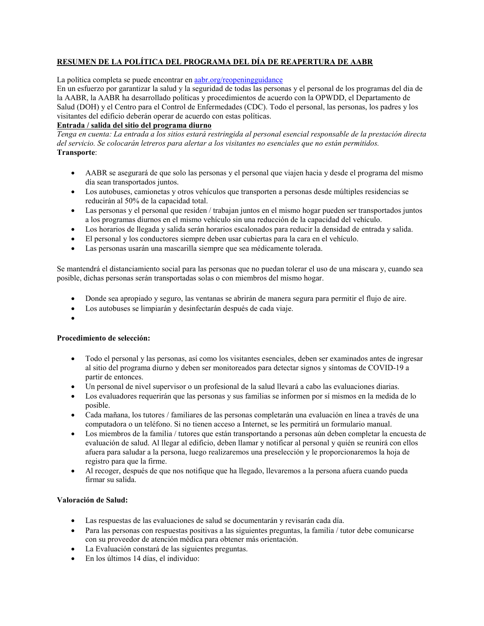### **RESUMEN DE LA POLÍTICA DEL PROGRAMA DEL DÍA DE REAPERTURA DE AABR**

La política completa se puede encontrar en [aabr.org/reopeningguidance](http://aabr.org/reopeningguidance)

En un esfuerzo por garantizar la salud y la seguridad de todas las personas y el personal de los programas del dia de la AABR, la AABR ha desarrollado políticas y procedimientos de acuerdo con la OPWDD, el Departamento de Salud (DOH) y el Centro para el Control de Enfermedades (CDC). Todo el personal, las personas, los padres y los visitantes del edificio deberán operar de acuerdo con estas políticas.

#### **Entrada / salida del sitio del programa diurno**

*Tenga en cuenta: La entrada a los sitios estará restringida al personal esencial responsable de la prestación directa del servicio. Se colocarán letreros para alertar a los visitantes no esenciales que no están permitidos.* **Transporte**:

- AABR se asegurará de que solo las personas y el personal que viajen hacia y desde el programa del mismo día sean transportados juntos.
- Los autobuses, camionetas y otros vehículos que transporten a personas desde múltiples residencias se reducirán al 50% de la capacidad total.
- Las personas y el personal que residen / trabajan juntos en el mismo hogar pueden ser transportados juntos a los programas diurnos en el mismo vehículo sin una reducción de la capacidad del vehículo.
- Los horarios de llegada y salida serán horarios escalonados para reducir la densidad de entrada y salida.
- El personal y los conductores siempre deben usar cubiertas para la cara en el vehículo.
- Las personas usarán una mascarilla siempre que sea médicamente tolerada.

Se mantendrá el distanciamiento social para las personas que no puedan tolerar el uso de una máscara y, cuando sea posible, dichas personas serán transportadas solas o con miembros del mismo hogar.

- Donde sea apropiado y seguro, las ventanas se abrirán de manera segura para permitir el flujo de aire.
- Los autobuses se limpiarán y desinfectarán después de cada viaje.
- •

#### **Procedimiento de selección:**

- Todo el personal y las personas, así como los visitantes esenciales, deben ser examinados antes de ingresar al sitio del programa diurno y deben ser monitoreados para detectar signos y síntomas de COVID-19 a partir de entonces.
- Un personal de nivel supervisor o un profesional de la salud llevará a cabo las evaluaciones diarias.
- Los evaluadores requerirán que las personas y sus familias se informen por sí mismos en la medida de lo posible.
- Cada mañana, los tutores / familiares de las personas completarán una evaluación en línea a través de una computadora o un teléfono. Si no tienen acceso a Internet, se les permitirá un formulario manual.
- Los miembros de la familia / tutores que están transportando a personas aún deben completar la encuesta de evaluación de salud. Al llegar al edificio, deben llamar y notificar al personal y quién se reunirá con ellos afuera para saludar a la persona, luego realizaremos una preselección y le proporcionaremos la hoja de registro para que la firme.
- Al recoger, después de que nos notifique que ha llegado, llevaremos a la persona afuera cuando pueda firmar su salida.

#### **Valoración de Salud:**

- Las respuestas de las evaluaciones de salud se documentarán y revisarán cada día.
- Para las personas con respuestas positivas a las siguientes preguntas, la familia / tutor debe comunicarse con su proveedor de atención médica para obtener más orientación.
- La Evaluación constará de las siguientes preguntas.
- En los últimos 14 días, el individuo: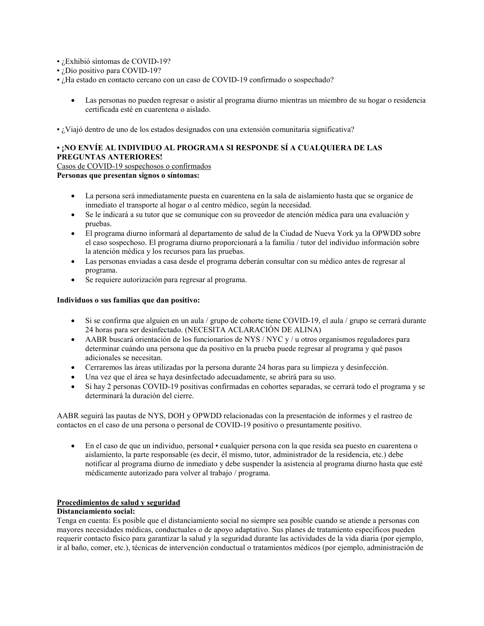▪ ¿Exhibió síntomas de COVID-19?

- ¿Dio positivo para COVID-19?
- ¿Ha estado en contacto cercano con un caso de COVID-19 confirmado o sospechado?
	- Las personas no pueden regresar o asistir al programa diurno mientras un miembro de su hogar o residencia certificada esté en cuarentena o aislado.
- ¿Viajó dentro de uno de los estados designados con una extensión comunitaria significativa?

#### **• ¡NO ENVÍE AL INDIVIDUO AL PROGRAMA SI RESPONDE SÍ A CUALQUIERA DE LAS PREGUNTAS ANTERIORES!**

Casos de COVID-19 sospechosos o confirmados

**Personas que presentan signos o síntomas:**

- La persona será inmediatamente puesta en cuarentena en la sala de aislamiento hasta que se organice de inmediato el transporte al hogar o al centro médico, según la necesidad.
- Se le indicará a su tutor que se comunique con su proveedor de atención médica para una evaluación y pruebas.
- El programa diurno informará al departamento de salud de la Ciudad de Nueva York ya la OPWDD sobre el caso sospechoso. El programa diurno proporcionará a la familia / tutor del individuo información sobre la atención médica y los recursos para las pruebas.
- Las personas enviadas a casa desde el programa deberán consultar con su médico antes de regresar al programa.
- Se requiere autorización para regresar al programa.

#### **Individuos o sus familias que dan positivo:**

- Si se confirma que alguien en un aula / grupo de cohorte tiene COVID-19, el aula / grupo se cerrará durante 24 horas para ser desinfectado. (NECESITA ACLARACIÓN DE ALINA)
- AABR buscará orientación de los funcionarios de NYS / NYC y / u otros organismos reguladores para determinar cuándo una persona que da positivo en la prueba puede regresar al programa y qué pasos adicionales se necesitan.
- Cerraremos las áreas utilizadas por la persona durante 24 horas para su limpieza y desinfección.
- Una vez que el área se haya desinfectado adecuadamente, se abrirá para su uso.
- Si hay 2 personas COVID-19 positivas confirmadas en cohortes separadas, se cerrará todo el programa y se determinará la duración del cierre.

AABR seguirá las pautas de NYS, DOH y OPWDD relacionadas con la presentación de informes y el rastreo de contactos en el caso de una persona o personal de COVID-19 positivo o presuntamente positivo.

• En el caso de que un individuo, personal • cualquier persona con la que resida sea puesto en cuarentena o aislamiento, la parte responsable (es decir, él mismo, tutor, administrador de la residencia, etc.) debe notificar al programa diurno de inmediato y debe suspender la asistencia al programa diurno hasta que esté médicamente autorizado para volver al trabajo / programa.

#### **Procedimientos de salud y seguridad**

#### **Distanciamiento social:**

Tenga en cuenta: Es posible que el distanciamiento social no siempre sea posible cuando se atiende a personas con mayores necesidades médicas, conductuales o de apoyo adaptativo. Sus planes de tratamiento específicos pueden requerir contacto físico para garantizar la salud y la seguridad durante las actividades de la vida diaria (por ejemplo, ir al baño, comer, etc.), técnicas de intervención conductual o tratamientos médicos (por ejemplo, administración de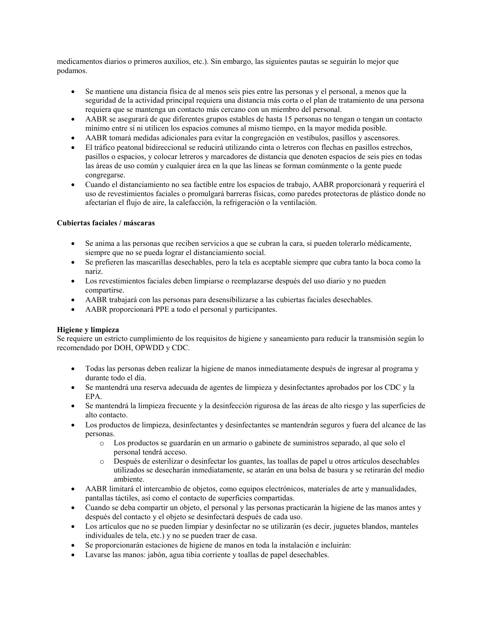medicamentos diarios o primeros auxilios, etc.). Sin embargo, las siguientes pautas se seguirán lo mejor que podamos.

- Se mantiene una distancia física de al menos seis pies entre las personas y el personal, a menos que la seguridad de la actividad principal requiera una distancia más corta o el plan de tratamiento de una persona requiera que se mantenga un contacto más cercano con un miembro del personal.
- AABR se asegurará de que diferentes grupos estables de hasta 15 personas no tengan o tengan un contacto mínimo entre sí ni utilicen los espacios comunes al mismo tiempo, en la mayor medida posible.
- AABR tomará medidas adicionales para evitar la congregación en vestíbulos, pasillos y ascensores.
- El tráfico peatonal bidireccional se reducirá utilizando cinta o letreros con flechas en pasillos estrechos, pasillos o espacios, y colocar letreros y marcadores de distancia que denoten espacios de seis pies en todas las áreas de uso común y cualquier área en la que las líneas se forman comúnmente o la gente puede congregarse.
- Cuando el distanciamiento no sea factible entre los espacios de trabajo, AABR proporcionará y requerirá el uso de revestimientos faciales o promulgará barreras físicas, como paredes protectoras de plástico donde no afectarían el flujo de aire, la calefacción, la refrigeración o la ventilación.

#### **Cubiertas faciales / máscaras**

- Se anima a las personas que reciben servicios a que se cubran la cara, si pueden tolerarlo médicamente, siempre que no se pueda lograr el distanciamiento social.
- Se prefieren las mascarillas desechables, pero la tela es aceptable siempre que cubra tanto la boca como la nariz.
- Los revestimientos faciales deben limpiarse o reemplazarse después del uso diario y no pueden compartirse.
- AABR trabajará con las personas para desensibilizarse a las cubiertas faciales desechables.
- AABR proporcionará PPE a todo el personal y participantes.

#### **Higiene y limpieza**

Se requiere un estricto cumplimiento de los requisitos de higiene y saneamiento para reducir la transmisión según lo recomendado por DOH, OPWDD y CDC.

- Todas las personas deben realizar la higiene de manos inmediatamente después de ingresar al programa y durante todo el día.
- Se mantendrá una reserva adecuada de agentes de limpieza y desinfectantes aprobados por los CDC y la EPA.
- Se mantendrá la limpieza frecuente y la desinfección rigurosa de las áreas de alto riesgo y las superficies de alto contacto.
- Los productos de limpieza, desinfectantes y desinfectantes se mantendrán seguros y fuera del alcance de las personas.
	- o Los productos se guardarán en un armario o gabinete de suministros separado, al que solo el personal tendrá acceso.
	- o Después de esterilizar o desinfectar los guantes, las toallas de papel u otros artículos desechables utilizados se desecharán inmediatamente, se atarán en una bolsa de basura y se retirarán del medio ambiente.
- AABR limitará el intercambio de objetos, como equipos electrónicos, materiales de arte y manualidades, pantallas táctiles, así como el contacto de superficies compartidas.
- Cuando se deba compartir un objeto, el personal y las personas practicarán la higiene de las manos antes y después del contacto y el objeto se desinfectará después de cada uso.
- Los artículos que no se pueden limpiar y desinfectar no se utilizarán (es decir, juguetes blandos, manteles individuales de tela, etc.) y no se pueden traer de casa.
- Se proporcionarán estaciones de higiene de manos en toda la instalación e incluirán:
- Lavarse las manos: jabón, agua tibia corriente y toallas de papel desechables.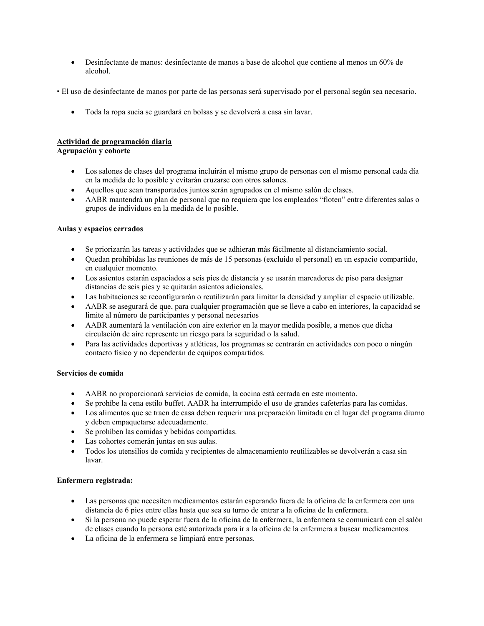- Desinfectante de manos: desinfectante de manos a base de alcohol que contiene al menos un 60% de alcohol.
- El uso de desinfectante de manos por parte de las personas será supervisado por el personal según sea necesario.
	- Toda la ropa sucia se guardará en bolsas y se devolverá a casa sin lavar.

#### **Actividad de programación diaria**

**Agrupación y cohorte**

- Los salones de clases del programa incluirán el mismo grupo de personas con el mismo personal cada día en la medida de lo posible y evitarán cruzarse con otros salones.
- Aquellos que sean transportados juntos serán agrupados en el mismo salón de clases.
- AABR mantendrá un plan de personal que no requiera que los empleados "floten" entre diferentes salas o grupos de individuos en la medida de lo posible.

#### **Aulas y espacios cerrados**

- Se priorizarán las tareas y actividades que se adhieran más fácilmente al distanciamiento social.
- Quedan prohibidas las reuniones de más de 15 personas (excluido el personal) en un espacio compartido, en cualquier momento.
- Los asientos estarán espaciados a seis pies de distancia y se usarán marcadores de piso para designar distancias de seis pies y se quitarán asientos adicionales.
- Las habitaciones se reconfigurarán o reutilizarán para limitar la densidad y ampliar el espacio utilizable.
- AABR se asegurará de que, para cualquier programación que se lleve a cabo en interiores, la capacidad se limite al número de participantes y personal necesarios
- AABR aumentará la ventilación con aire exterior en la mayor medida posible, a menos que dicha circulación de aire represente un riesgo para la seguridad o la salud.
- Para las actividades deportivas y atléticas, los programas se centrarán en actividades con poco o ningún contacto físico y no dependerán de equipos compartidos.

#### **Servicios de comida**

- AABR no proporcionará servicios de comida, la cocina está cerrada en este momento.
- Se prohíbe la cena estilo buffet. AABR ha interrumpido el uso de grandes cafeterías para las comidas.
- Los alimentos que se traen de casa deben requerir una preparación limitada en el lugar del programa diurno y deben empaquetarse adecuadamente.
- Se prohíben las comidas y bebidas compartidas.
- Las cohortes comerán juntas en sus aulas.
- Todos los utensilios de comida y recipientes de almacenamiento reutilizables se devolverán a casa sin lavar.

#### **Enfermera registrada:**

- Las personas que necesiten medicamentos estarán esperando fuera de la oficina de la enfermera con una distancia de 6 pies entre ellas hasta que sea su turno de entrar a la oficina de la enfermera.
- Si la persona no puede esperar fuera de la oficina de la enfermera, la enfermera se comunicará con el salón de clases cuando la persona esté autorizada para ir a la oficina de la enfermera a buscar medicamentos.
- La oficina de la enfermera se limpiará entre personas.